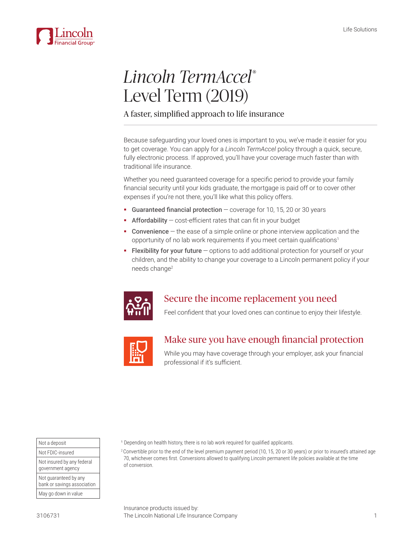

# *Lincoln TermAccel*® Level Term (2019)

### A faster, simplified approach to life insurance

Because safeguarding your loved ones is important to you, we've made it easier for you to get coverage. You can apply for a *Lincoln TermAccel* policy through a quick, secure, fully electronic process. If approved, you'll have your coverage much faster than with traditional life insurance.

Whether you need guaranteed coverage for a specific period to provide your family financial security until your kids graduate, the mortgage is paid off or to cover other expenses if you're not there, you'll like what this policy offers.

- Guaranteed financial protection  $-$  coverage for 10, 15, 20 or 30 years
- **Affordability**  $-\text{cost-efficient rates}$  that can fit in your budget
- Convenience the ease of a simple online or phone interview application and the opportunity of no lab work requirements if you meet certain qualifications<sup>1</sup>
- Flexibility for your future options to add additional protection for yourself or your children, and the ability to change your coverage to a Lincoln permanent policy if your needs change<sup>2</sup>



# Secure the income replacement you need

Feel confident that your loved ones can continue to enjoy their lifestyle.



# Make sure you have enough financial protection

While you may have coverage through your employer, ask your financial professional if it's sufficient.

| Not a deposit                                        |  |
|------------------------------------------------------|--|
| Not FDIC-insured                                     |  |
| Not insured by any federal<br>government agency      |  |
| Not guaranteed by any<br>bank or savings association |  |
| May go down in value                                 |  |

<sup>1</sup> Depending on health history, there is no lab work required for qualified applicants.

2 Convertible prior to the end of the level premium payment period (10, 15, 20 or 30 years) or prior to insured's attained age 70, whichever comes first. Conversions allowed to qualifying Lincoln permanent life policies available at the time of conversion.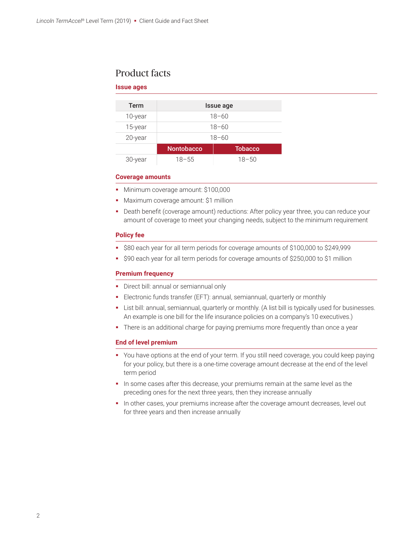### Product facts

### **Issue ages**

| Term    | Issue age         |                |
|---------|-------------------|----------------|
| 10-year | $18 - 60$         |                |
| 15-year | $18 - 60$         |                |
| 20-year | $18 - 60$         |                |
|         | <b>Nontobacco</b> | <b>Tobacco</b> |
| 30-year | $18 - 55$         | 18-50          |

#### **Coverage amounts**

- Minimum coverage amount: \$100,000
- **Maximum coverage amount: \$1 million**
- Death benefit (coverage amount) reductions: After policy year three, you can reduce your amount of coverage to meet your changing needs, subject to the minimum requirement

### **Policy fee**

- **580 each year for all term periods for coverage amounts of \$100,000 to \$249,999**
- \$90 each year for all term periods for coverage amounts of \$250,000 to \$1 million

### **Premium frequency**

- **Direct bill: annual or semiannual only**
- Electronic funds transfer (EFT): annual, semiannual, quarterly or monthly
- List bill: annual, semiannual, quarterly or monthly. (A list bill is typically used for businesses. An example is one bill for the life insurance policies on a company's 10 executives.)
- **There is an additional charge for paying premiums more frequently than once a year**

### **End of level premium**

- You have options at the end of your term. If you still need coverage, you could keep paying for your policy, but there is a one-time coverage amount decrease at the end of the level term period
- In some cases after this decrease, your premiums remain at the same level as the preceding ones for the next three years, then they increase annually
- In other cases, your premiums increase after the coverage amount decreases, level out for three years and then increase annually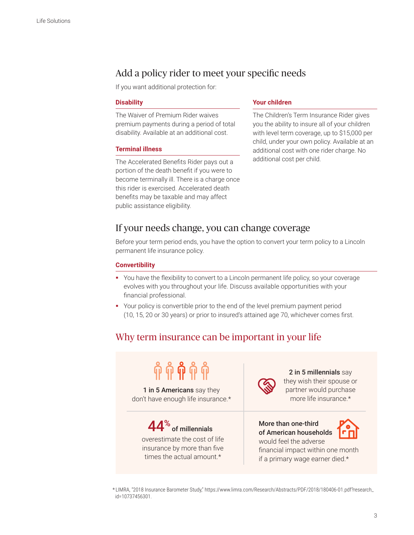# Add a policy rider to meet your specific needs

If you want additional protection for:

### **Disability**

The Waiver of Premium Rider waives premium payments during a period of total disability. Available at an additional cost.

### **Terminal illness**

The Accelerated Benefits Rider pays out a portion of the death benefit if you were to become terminally ill. There is a charge once this rider is exercised. Accelerated death benefits may be taxable and may affect public assistance eligibility.

### **Your children**

The Children's Term Insurance Rider gives you the ability to insure all of your children with level term coverage, up to \$15,000 per child, under your own policy. Available at an additional cost with one rider charge. No additional cost per child.

### If your needs change, you can change coverage

Before your term period ends, you have the option to convert your term policy to a Lincoln permanent life insurance policy.

### **Convertibility**

- You have the flexibility to convert to a Lincoln permanent life policy, so your coverage evolves with you throughout your life. Discuss available opportunities with your financial professional.
- Your policy is convertible prior to the end of the level premium payment period (10, 15, 20 or 30 years) or prior to insured's attained age 70, whichever comes first.

# Why term insurance can be important in your life



\* LIMRA, "2018 Insurance Barometer Study," https://www.limra.com/Research/Abstracts/PDF/2018/180406-01.pdf?research\_ id=10737456301.